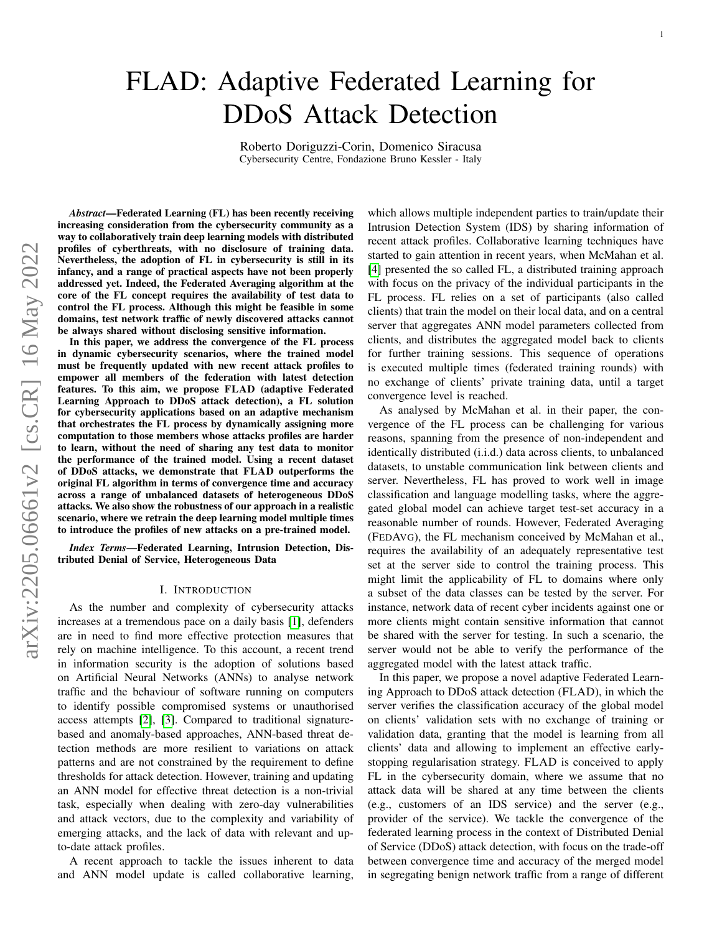# FLAD: Adaptive Federated Learning for DDoS Attack Detection

Roberto Doriguzzi-Corin, Domenico Siracusa Cybersecurity Centre, Fondazione Bruno Kessler - Italy

*Abstract*—Federated Learning (FL) has been recently receiving increasing consideration from the cybersecurity community as a way to collaboratively train deep learning models with distributed profiles of cyberthreats, with no disclosure of training data. Nevertheless, the adoption of FL in cybersecurity is still in its infancy, and a range of practical aspects have not been properly addressed yet. Indeed, the Federated Averaging algorithm at the core of the FL concept requires the availability of test data to control the FL process. Although this might be feasible in some domains, test network traffic of newly discovered attacks cannot be always shared without disclosing sensitive information.

In this paper, we address the convergence of the FL process in dynamic cybersecurity scenarios, where the trained model must be frequently updated with new recent attack profiles to empower all members of the federation with latest detection features. To this aim, we propose FLAD (adaptive Federated Learning Approach to DDoS attack detection), a FL solution for cybersecurity applications based on an adaptive mechanism that orchestrates the FL process by dynamically assigning more computation to those members whose attacks profiles are harder to learn, without the need of sharing any test data to monitor the performance of the trained model. Using a recent dataset of DDoS attacks, we demonstrate that FLAD outperforms the original FL algorithm in terms of convergence time and accuracy across a range of unbalanced datasets of heterogeneous DDoS attacks. We also show the robustness of our approach in a realistic scenario, where we retrain the deep learning model multiple times to introduce the profiles of new attacks on a pre-trained model.

*Index Terms*—Federated Learning, Intrusion Detection, Distributed Denial of Service, Heterogeneous Data

#### I. INTRODUCTION

As the number and complexity of cybersecurity attacks increases at a tremendous pace on a daily basis [\[1\]](#page-11-0), defenders are in need to find more effective protection measures that rely on machine intelligence. To this account, a recent trend in information security is the adoption of solutions based on Artificial Neural Networks (ANNs) to analyse network traffic and the behaviour of software running on computers to identify possible compromised systems or unauthorised access attempts [\[2\]](#page-11-1), [\[3\]](#page-11-2). Compared to traditional signaturebased and anomaly-based approaches, ANN-based threat detection methods are more resilient to variations on attack patterns and are not constrained by the requirement to define thresholds for attack detection. However, training and updating an ANN model for effective threat detection is a non-trivial task, especially when dealing with zero-day vulnerabilities and attack vectors, due to the complexity and variability of emerging attacks, and the lack of data with relevant and upto-date attack profiles.

A recent approach to tackle the issues inherent to data and ANN model update is called collaborative learning,

which allows multiple independent parties to train/update their Intrusion Detection System (IDS) by sharing information of recent attack profiles. Collaborative learning techniques have started to gain attention in recent years, when McMahan et al. [\[4\]](#page-11-3) presented the so called FL, a distributed training approach with focus on the privacy of the individual participants in the FL process. FL relies on a set of participants (also called clients) that train the model on their local data, and on a central server that aggregates ANN model parameters collected from clients, and distributes the aggregated model back to clients for further training sessions. This sequence of operations is executed multiple times (federated training rounds) with no exchange of clients' private training data, until a target convergence level is reached.

As analysed by McMahan et al. in their paper, the convergence of the FL process can be challenging for various reasons, spanning from the presence of non-independent and identically distributed (i.i.d.) data across clients, to unbalanced datasets, to unstable communication link between clients and server. Nevertheless, FL has proved to work well in image classification and language modelling tasks, where the aggregated global model can achieve target test-set accuracy in a reasonable number of rounds. However, Federated Averaging (FEDAVG), the FL mechanism conceived by McMahan et al., requires the availability of an adequately representative test set at the server side to control the training process. This might limit the applicability of FL to domains where only a subset of the data classes can be tested by the server. For instance, network data of recent cyber incidents against one or more clients might contain sensitive information that cannot be shared with the server for testing. In such a scenario, the server would not be able to verify the performance of the aggregated model with the latest attack traffic.

In this paper, we propose a novel adaptive Federated Learning Approach to DDoS attack detection (FLAD), in which the server verifies the classification accuracy of the global model on clients' validation sets with no exchange of training or validation data, granting that the model is learning from all clients' data and allowing to implement an effective earlystopping regularisation strategy. FLAD is conceived to apply FL in the cybersecurity domain, where we assume that no attack data will be shared at any time between the clients (e.g., customers of an IDS service) and the server (e.g., provider of the service). We tackle the convergence of the federated learning process in the context of Distributed Denial of Service (DDoS) attack detection, with focus on the trade-off between convergence time and accuracy of the merged model in segregating benign network traffic from a range of different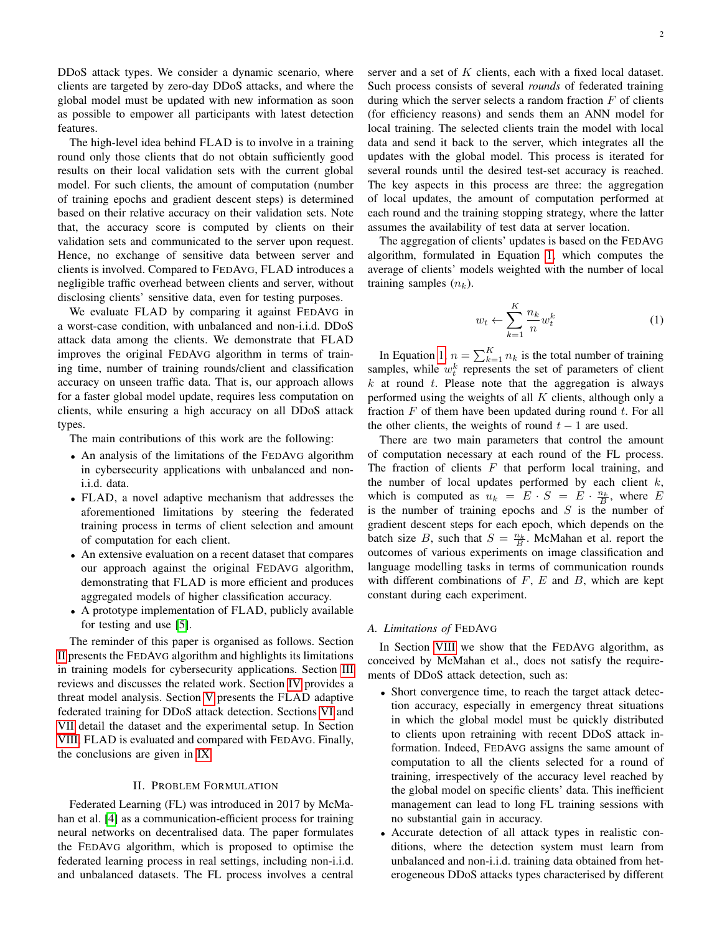DDoS attack types. We consider a dynamic scenario, where clients are targeted by zero-day DDoS attacks, and where the global model must be updated with new information as soon as possible to empower all participants with latest detection features.

The high-level idea behind FLAD is to involve in a training round only those clients that do not obtain sufficiently good results on their local validation sets with the current global model. For such clients, the amount of computation (number of training epochs and gradient descent steps) is determined based on their relative accuracy on their validation sets. Note that, the accuracy score is computed by clients on their validation sets and communicated to the server upon request. Hence, no exchange of sensitive data between server and clients is involved. Compared to FEDAVG, FLAD introduces a negligible traffic overhead between clients and server, without disclosing clients' sensitive data, even for testing purposes.

We evaluate FLAD by comparing it against FEDAVG in a worst-case condition, with unbalanced and non-i.i.d. DDoS attack data among the clients. We demonstrate that FLAD improves the original FEDAVG algorithm in terms of training time, number of training rounds/client and classification accuracy on unseen traffic data. That is, our approach allows for a faster global model update, requires less computation on clients, while ensuring a high accuracy on all DDoS attack types.

The main contributions of this work are the following:

- An analysis of the limitations of the FEDAVG algorithm in cybersecurity applications with unbalanced and noni.i.d. data.
- FLAD, a novel adaptive mechanism that addresses the aforementioned limitations by steering the federated training process in terms of client selection and amount of computation for each client.
- An extensive evaluation on a recent dataset that compares our approach against the original FEDAVG algorithm, demonstrating that FLAD is more efficient and produces aggregated models of higher classification accuracy.
- A prototype implementation of FLAD, publicly available for testing and use [\[5\]](#page-11-4).

The reminder of this paper is organised as follows. Section [II](#page-1-0) presents the FEDAVG algorithm and highlights its limitations in training models for cybersecurity applications. Section [III](#page-2-0) reviews and discusses the related work. Section [IV](#page-3-0) provides a threat model analysis. Section [V](#page-3-1) presents the FLAD adaptive federated training for DDoS attack detection. Sections [VI](#page-5-0) and [VII](#page-7-0) detail the dataset and the experimental setup. In Section [VIII,](#page-8-0) FLAD is evaluated and compared with FEDAVG. Finally, the conclusions are given in [IX.](#page-11-5)

## II. PROBLEM FORMULATION

<span id="page-1-0"></span>Federated Learning (FL) was introduced in 2017 by McMahan et al. [\[4\]](#page-11-3) as a communication-efficient process for training neural networks on decentralised data. The paper formulates the FEDAVG algorithm, which is proposed to optimise the federated learning process in real settings, including non-i.i.d. and unbalanced datasets. The FL process involves a central server and a set of  $K$  clients, each with a fixed local dataset. Such process consists of several *rounds* of federated training during which the server selects a random fraction  $F$  of clients (for efficiency reasons) and sends them an ANN model for local training. The selected clients train the model with local data and send it back to the server, which integrates all the updates with the global model. This process is iterated for several rounds until the desired test-set accuracy is reached. The key aspects in this process are three: the aggregation of local updates, the amount of computation performed at each round and the training stopping strategy, where the latter assumes the availability of test data at server location.

The aggregation of clients' updates is based on the FEDAVG algorithm, formulated in Equation [1,](#page-1-1) which computes the average of clients' models weighted with the number of local training samples  $(n_k)$ .

<span id="page-1-1"></span>
$$
w_t \leftarrow \sum_{k=1}^K \frac{n_k}{n} w_t^k \tag{1}
$$

In Equation [1,](#page-1-1)  $n = \sum_{k=1}^{K} n_k$  is the total number of training samples, while  $w_t^k$  represents the set of parameters of client  $k$  at round  $t$ . Please note that the aggregation is always performed using the weights of all  $K$  clients, although only a fraction  $F$  of them have been updated during round  $t$ . For all the other clients, the weights of round  $t - 1$  are used.

There are two main parameters that control the amount of computation necessary at each round of the FL process. The fraction of clients  $F$  that perform local training, and the number of local updates performed by each client  $k$ , which is computed as  $u_k = E \cdot S = E \cdot \frac{n_k}{B}$ , where E is the number of training epochs and  $S$  is the number of gradient descent steps for each epoch, which depends on the batch size B, such that  $S = \frac{n_k}{B}$ . McMahan et al. report the outcomes of various experiments on image classification and language modelling tasks in terms of communication rounds with different combinations of  $F$ ,  $E$  and  $B$ , which are kept constant during each experiment.

## *A. Limitations of* FEDAVG

In Section [VIII](#page-8-0) we show that the FEDAVG algorithm, as conceived by McMahan et al., does not satisfy the requirements of DDoS attack detection, such as:

- Short convergence time, to reach the target attack detection accuracy, especially in emergency threat situations in which the global model must be quickly distributed to clients upon retraining with recent DDoS attack information. Indeed, FEDAVG assigns the same amount of computation to all the clients selected for a round of training, irrespectively of the accuracy level reached by the global model on specific clients' data. This inefficient management can lead to long FL training sessions with no substantial gain in accuracy.
- Accurate detection of all attack types in realistic conditions, where the detection system must learn from unbalanced and non-i.i.d. training data obtained from heterogeneous DDoS attacks types characterised by different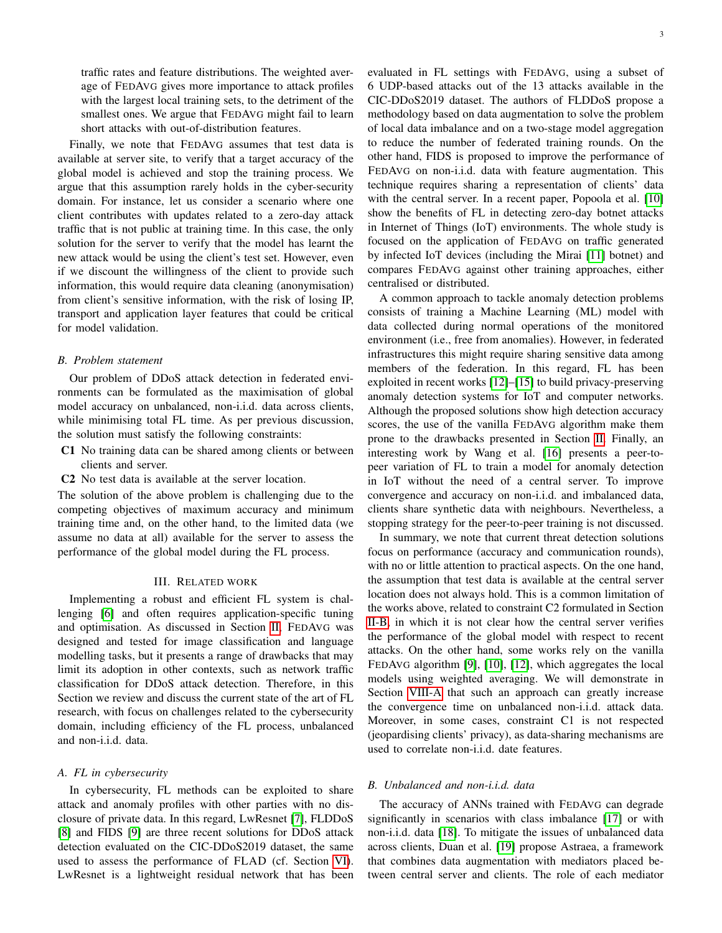traffic rates and feature distributions. The weighted average of FEDAVG gives more importance to attack profiles with the largest local training sets, to the detriment of the smallest ones. We argue that FEDAVG might fail to learn short attacks with out-of-distribution features.

Finally, we note that FEDAVG assumes that test data is available at server site, to verify that a target accuracy of the global model is achieved and stop the training process. We argue that this assumption rarely holds in the cyber-security domain. For instance, let us consider a scenario where one client contributes with updates related to a zero-day attack traffic that is not public at training time. In this case, the only solution for the server to verify that the model has learnt the new attack would be using the client's test set. However, even if we discount the willingness of the client to provide such information, this would require data cleaning (anonymisation) from client's sensitive information, with the risk of losing IP, transport and application layer features that could be critical for model validation.

#### <span id="page-2-1"></span>*B. Problem statement*

Our problem of DDoS attack detection in federated environments can be formulated as the maximisation of global model accuracy on unbalanced, non-i.i.d. data across clients, while minimising total FL time. As per previous discussion, the solution must satisfy the following constraints:

- C1 No training data can be shared among clients or between clients and server.
- C2 No test data is available at the server location.

The solution of the above problem is challenging due to the competing objectives of maximum accuracy and minimum training time and, on the other hand, to the limited data (we assume no data at all) available for the server to assess the performance of the global model during the FL process.

## III. RELATED WORK

<span id="page-2-0"></span>Implementing a robust and efficient FL system is challenging [\[6\]](#page-11-6) and often requires application-specific tuning and optimisation. As discussed in Section [II,](#page-1-0) FEDAVG was designed and tested for image classification and language modelling tasks, but it presents a range of drawbacks that may limit its adoption in other contexts, such as network traffic classification for DDoS attack detection. Therefore, in this Section we review and discuss the current state of the art of FL research, with focus on challenges related to the cybersecurity domain, including efficiency of the FL process, unbalanced and non-i.i.d. data.

## *A. FL in cybersecurity*

In cybersecurity, FL methods can be exploited to share attack and anomaly profiles with other parties with no disclosure of private data. In this regard, LwResnet [\[7\]](#page-11-7), FLDDoS [\[8\]](#page-11-8) and FIDS [\[9\]](#page-11-9) are three recent solutions for DDoS attack detection evaluated on the CIC-DDoS2019 dataset, the same used to assess the performance of FLAD (cf. Section [VI\)](#page-5-0). LwResnet is a lightweight residual network that has been evaluated in FL settings with FEDAVG, using a subset of 6 UDP-based attacks out of the 13 attacks available in the CIC-DDoS2019 dataset. The authors of FLDDoS propose a methodology based on data augmentation to solve the problem of local data imbalance and on a two-stage model aggregation to reduce the number of federated training rounds. On the other hand, FIDS is proposed to improve the performance of FEDAVG on non-i.i.d. data with feature augmentation. This technique requires sharing a representation of clients' data with the central server. In a recent paper, Popoola et al. [\[10\]](#page-11-10) show the benefits of FL in detecting zero-day botnet attacks in Internet of Things (IoT) environments. The whole study is focused on the application of FEDAVG on traffic generated by infected IoT devices (including the Mirai [\[11\]](#page-11-11) botnet) and compares FEDAVG against other training approaches, either centralised or distributed.

A common approach to tackle anomaly detection problems consists of training a Machine Learning (ML) model with data collected during normal operations of the monitored environment (i.e., free from anomalies). However, in federated infrastructures this might require sharing sensitive data among members of the federation. In this regard, FL has been exploited in recent works [\[12\]](#page-11-12)–[\[15\]](#page-11-13) to build privacy-preserving anomaly detection systems for IoT and computer networks. Although the proposed solutions show high detection accuracy scores, the use of the vanilla FEDAVG algorithm make them prone to the drawbacks presented in Section [II.](#page-1-0) Finally, an interesting work by Wang et al. [\[16\]](#page-11-14) presents a peer-topeer variation of FL to train a model for anomaly detection in IoT without the need of a central server. To improve convergence and accuracy on non-i.i.d. and imbalanced data, clients share synthetic data with neighbours. Nevertheless, a stopping strategy for the peer-to-peer training is not discussed.

In summary, we note that current threat detection solutions focus on performance (accuracy and communication rounds), with no or little attention to practical aspects. On the one hand, the assumption that test data is available at the central server location does not always hold. This is a common limitation of the works above, related to constraint C2 formulated in Section [II-B,](#page-2-1) in which it is not clear how the central server verifies the performance of the global model with respect to recent attacks. On the other hand, some works rely on the vanilla FEDAVG algorithm [\[9\]](#page-11-9), [\[10\]](#page-11-10), [\[12\]](#page-11-12), which aggregates the local models using weighted averaging. We will demonstrate in Section [VIII-A](#page-8-1) that such an approach can greatly increase the convergence time on unbalanced non-i.i.d. attack data. Moreover, in some cases, constraint C1 is not respected (jeopardising clients' privacy), as data-sharing mechanisms are used to correlate non-i.i.d. date features.

# *B. Unbalanced and non-i.i.d. data*

The accuracy of ANNs trained with FEDAVG can degrade significantly in scenarios with class imbalance [\[17\]](#page-11-15) or with non-i.i.d. data [\[18\]](#page-11-16). To mitigate the issues of unbalanced data across clients, Duan et al. [\[19\]](#page-11-17) propose Astraea, a framework that combines data augmentation with mediators placed between central server and clients. The role of each mediator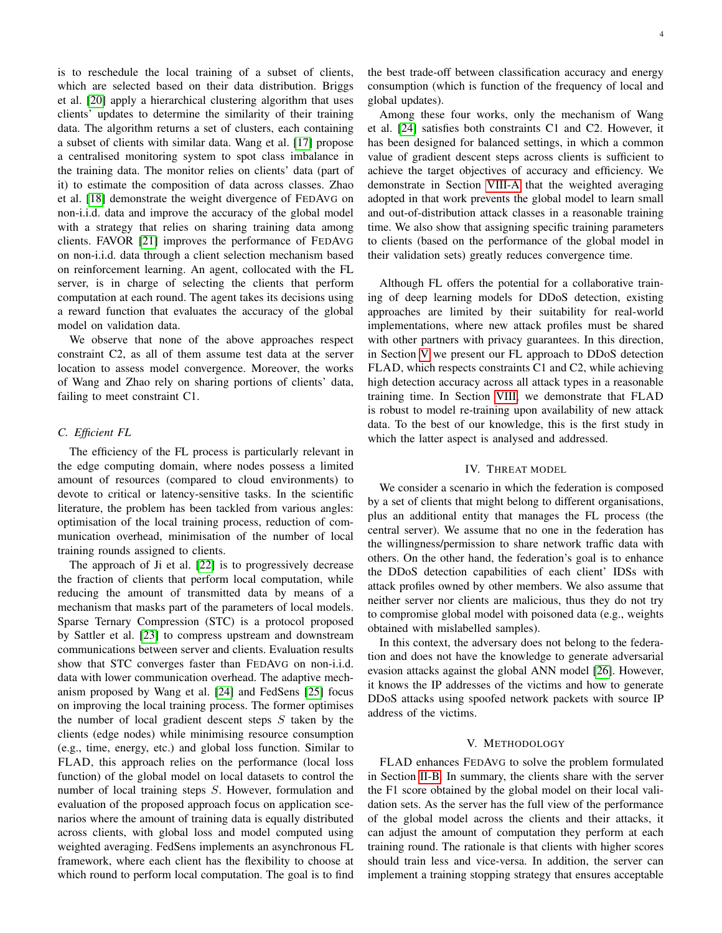is to reschedule the local training of a subset of clients, which are selected based on their data distribution. Briggs et al. [\[20\]](#page-11-18) apply a hierarchical clustering algorithm that uses clients' updates to determine the similarity of their training data. The algorithm returns a set of clusters, each containing a subset of clients with similar data. Wang et al. [\[17\]](#page-11-15) propose a centralised monitoring system to spot class imbalance in the training data. The monitor relies on clients' data (part of it) to estimate the composition of data across classes. Zhao et al. [\[18\]](#page-11-16) demonstrate the weight divergence of FEDAVG on non-i.i.d. data and improve the accuracy of the global model with a strategy that relies on sharing training data among clients. FAVOR [\[21\]](#page-11-19) improves the performance of FEDAVG on non-i.i.d. data through a client selection mechanism based on reinforcement learning. An agent, collocated with the FL server, is in charge of selecting the clients that perform computation at each round. The agent takes its decisions using a reward function that evaluates the accuracy of the global model on validation data.

We observe that none of the above approaches respect constraint C2, as all of them assume test data at the server location to assess model convergence. Moreover, the works of Wang and Zhao rely on sharing portions of clients' data, failing to meet constraint C1.

## *C. Efficient FL*

The efficiency of the FL process is particularly relevant in the edge computing domain, where nodes possess a limited amount of resources (compared to cloud environments) to devote to critical or latency-sensitive tasks. In the scientific literature, the problem has been tackled from various angles: optimisation of the local training process, reduction of communication overhead, minimisation of the number of local training rounds assigned to clients.

The approach of Ji et al. [\[22\]](#page-11-20) is to progressively decrease the fraction of clients that perform local computation, while reducing the amount of transmitted data by means of a mechanism that masks part of the parameters of local models. Sparse Ternary Compression (STC) is a protocol proposed by Sattler et al. [\[23\]](#page-11-21) to compress upstream and downstream communications between server and clients. Evaluation results show that STC converges faster than FEDAVG on non-i.i.d. data with lower communication overhead. The adaptive mechanism proposed by Wang et al. [\[24\]](#page-11-22) and FedSens [\[25\]](#page-11-23) focus on improving the local training process. The former optimises the number of local gradient descent steps  $S$  taken by the clients (edge nodes) while minimising resource consumption (e.g., time, energy, etc.) and global loss function. Similar to FLAD, this approach relies on the performance (local loss function) of the global model on local datasets to control the number of local training steps S. However, formulation and evaluation of the proposed approach focus on application scenarios where the amount of training data is equally distributed across clients, with global loss and model computed using weighted averaging. FedSens implements an asynchronous FL framework, where each client has the flexibility to choose at which round to perform local computation. The goal is to find the best trade-off between classification accuracy and energy consumption (which is function of the frequency of local and global updates).

Among these four works, only the mechanism of Wang et al. [\[24\]](#page-11-22) satisfies both constraints C1 and C2. However, it has been designed for balanced settings, in which a common value of gradient descent steps across clients is sufficient to achieve the target objectives of accuracy and efficiency. We demonstrate in Section [VIII-A](#page-8-1) that the weighted averaging adopted in that work prevents the global model to learn small and out-of-distribution attack classes in a reasonable training time. We also show that assigning specific training parameters to clients (based on the performance of the global model in their validation sets) greatly reduces convergence time.

Although FL offers the potential for a collaborative training of deep learning models for DDoS detection, existing approaches are limited by their suitability for real-world implementations, where new attack profiles must be shared with other partners with privacy guarantees. In this direction, in Section [V](#page-3-1) we present our FL approach to DDoS detection FLAD, which respects constraints C1 and C2, while achieving high detection accuracy across all attack types in a reasonable training time. In Section [VIII,](#page-8-0) we demonstrate that FLAD is robust to model re-training upon availability of new attack data. To the best of our knowledge, this is the first study in which the latter aspect is analysed and addressed.

## IV. THREAT MODEL

<span id="page-3-0"></span>We consider a scenario in which the federation is composed by a set of clients that might belong to different organisations, plus an additional entity that manages the FL process (the central server). We assume that no one in the federation has the willingness/permission to share network traffic data with others. On the other hand, the federation's goal is to enhance the DDoS detection capabilities of each client' IDSs with attack profiles owned by other members. We also assume that neither server nor clients are malicious, thus they do not try to compromise global model with poisoned data (e.g., weights obtained with mislabelled samples).

In this context, the adversary does not belong to the federation and does not have the knowledge to generate adversarial evasion attacks against the global ANN model [\[26\]](#page-11-24). However, it knows the IP addresses of the victims and how to generate DDoS attacks using spoofed network packets with source IP address of the victims.

#### V. METHODOLOGY

<span id="page-3-1"></span>FLAD enhances FEDAVG to solve the problem formulated in Section [II-B.](#page-2-1) In summary, the clients share with the server the F1 score obtained by the global model on their local validation sets. As the server has the full view of the performance of the global model across the clients and their attacks, it can adjust the amount of computation they perform at each training round. The rationale is that clients with higher scores should train less and vice-versa. In addition, the server can implement a training stopping strategy that ensures acceptable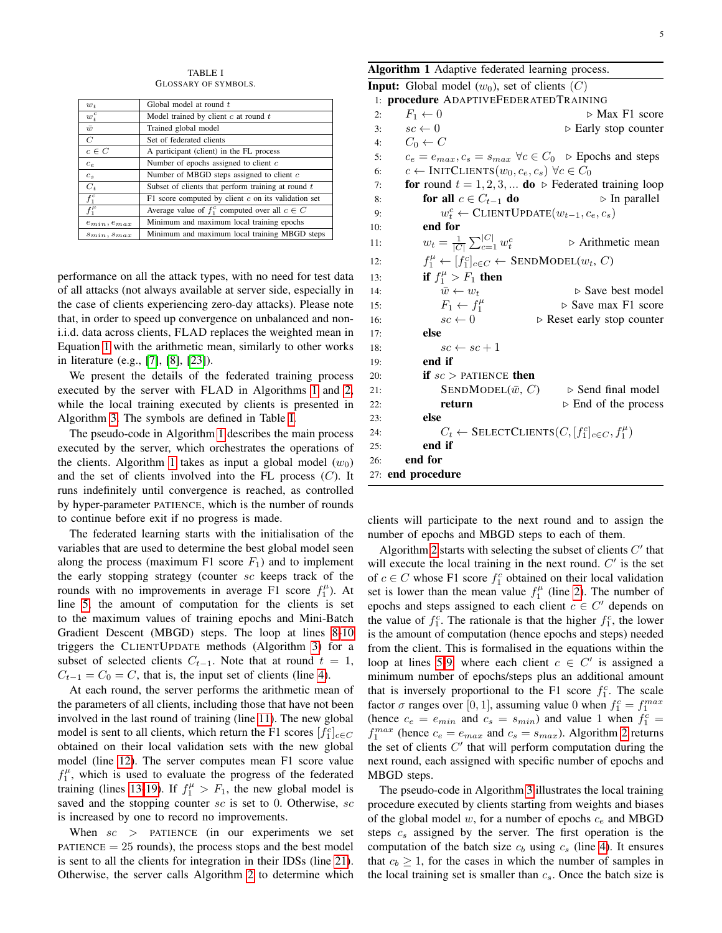TABLE I GLOSSARY OF SYMBOLS.

<span id="page-4-1"></span>

| $w_t$              | Global model at round t                               |
|--------------------|-------------------------------------------------------|
| $w_t^c$            | Model trained by client $c$ at round $t$              |
| $\bar{w}$          | Trained global model                                  |
| $\overline{C}$     | Set of federated clients                              |
| $c \in C$          | A participant (client) in the FL process              |
| $c_e$              | Number of epochs assigned to client $c$               |
| $c_s$              | Number of MBGD steps assigned to client $c$           |
| $C_t$              | Subset of clients that perform training at round $t$  |
| $f_1^c$            | F1 score computed by client $c$ on its validation set |
| $f_1^{\mu}$        | Average value of $f_1^c$ computed over all $c \in C$  |
| $e_{min}, e_{max}$ | Minimum and maximum local training epochs             |
| $s_{min}, s_{max}$ | Minimum and maximum local training MBGD steps         |
|                    |                                                       |

performance on all the attack types, with no need for test data of all attacks (not always available at server side, especially in the case of clients experiencing zero-day attacks). Please note that, in order to speed up convergence on unbalanced and noni.i.d. data across clients, FLAD replaces the weighted mean in Equation [1](#page-1-1) with the arithmetic mean, similarly to other works in literature (e.g., [\[7\]](#page-11-7), [\[8\]](#page-11-8), [\[23\]](#page-11-21)).

We present the details of the federated training process executed by the server with FLAD in Algorithms [1](#page-4-0) and [2,](#page-5-1) while the local training executed by clients is presented in Algorithm [3.](#page-5-2) The symbols are defined in Table [I.](#page-4-1)

The pseudo-code in Algorithm [1](#page-4-0) describes the main process executed by the server, which orchestrates the operations of the clients. Algorithm [1](#page-4-0) takes as input a global model  $(w_0)$ and the set of clients involved into the FL process  $(C)$ . It runs indefinitely until convergence is reached, as controlled by hyper-parameter PATIENCE, which is the number of rounds to continue before exit if no progress is made.

The federated learning starts with the initialisation of the variables that are used to determine the best global model seen along the process (maximum F1 score  $F_1$ ) and to implement the early stopping strategy (counter sc keeps track of the rounds with no improvements in average  $F1$  score  $f_1^{\mu}$ ). At line [5,](#page-4-0) the amount of computation for the clients is set to the maximum values of training epochs and Mini-Batch Gradient Descent (MBGD) steps. The loop at lines [8-10](#page-4-0) triggers the CLIENTUPDATE methods (Algorithm [3\)](#page-5-2) for a subset of selected clients  $C_{t-1}$ . Note that at round  $t = 1$ ,  $C_{t-1} = C_0 = C$ , that is, the input set of clients (line [4\)](#page-4-0).

At each round, the server performs the arithmetic mean of the parameters of all clients, including those that have not been involved in the last round of training (line [11\)](#page-4-0). The new global model is sent to all clients, which return the F1 scores  $[f_1^c]_{c \in C}$ obtained on their local validation sets with the new global model (line [12\)](#page-4-0). The server computes mean F1 score value  $f_1^{\mu}$ , which is used to evaluate the progress of the federated training (lines [13-19\)](#page-4-0). If  $f_1^{\mu} > F_1$ , the new global model is saved and the stopping counter  $sc$  is set to 0. Otherwise,  $sc$ is increased by one to record no improvements.

When  $sc$  > PATIENCE (in our experiments we set  $PATIENCE = 25$  rounds), the process stops and the best model is sent to all the clients for integration in their IDSs (line [21\)](#page-4-0). Otherwise, the server calls Algorithm [2](#page-5-1) to determine which

<span id="page-4-0"></span>

| Algorithm 1 Adaptive federated learning process. |  |  |  |  |  |
|--------------------------------------------------|--|--|--|--|--|
|--------------------------------------------------|--|--|--|--|--|

|     | <b>Input:</b> Global model $(w_0)$ , set of clients $(C)$        |                                                                                      |
|-----|------------------------------------------------------------------|--------------------------------------------------------------------------------------|
|     | 1: procedure ADAPTIVEFEDERATEDTRAINING                           |                                                                                      |
| 2:  | $F_1 \leftarrow 0$                                               | $\triangleright$ Max F1 score                                                        |
| 3:  | $sc \leftarrow 0$                                                | $\triangleright$ Early stop counter                                                  |
| 4:  | $C_0 \leftarrow C$                                               |                                                                                      |
| 5:  |                                                                  | $c_e = e_{max}, c_s = s_{max} \ \forall c \in C_0$ $\triangleright$ Epochs and steps |
| 6:  | $c \leftarrow$ INITCLIENTS $(w_0, c_e, c_s) \ \forall c \in C_0$ |                                                                                      |
| 7:  |                                                                  | for round $t = 1, 2, 3, $ do $\triangleright$ Federated training loop                |
| 8:  | for all $c \in C_{t-1}$ do                                       | $\triangleright$ In parallel                                                         |
| 9:  |                                                                  | $w_t^c \leftarrow \text{CLIENTUPDATE}(w_{t-1}, c_e, c_s)$                            |
| 10: | end for                                                          |                                                                                      |
| 11: | $w_t = \frac{1}{ C } \sum_{c=1}^{ C } w_t^c$                     | $\triangleright$ Arithmetic mean                                                     |
| 12: |                                                                  | $f_1^{\mu} \leftarrow [f_1^c]_{c \in C} \leftarrow \text{SENDMODEL}(w_t, C)$         |
| 13: | if $f_1^{\mu} > F_1$ then                                        |                                                                                      |
| 14: | $\bar{w} \leftarrow w_t$                                         | $\triangleright$ Save best model                                                     |
| 15: | $F_1 \leftarrow f_1^{\mu}$                                       | $\triangleright$ Save max F1 score                                                   |
| 16: | $sc \leftarrow 0$                                                | $\triangleright$ Reset early stop counter                                            |
| 17: | else                                                             |                                                                                      |
| 18: | $sc \leftarrow sc + 1$                                           |                                                                                      |
| 19: | end if                                                           |                                                                                      |
| 20: | <b>if</b> $sc$ > PATIENCE <b>then</b>                            |                                                                                      |
| 21: | SENDMODEL $(\bar{w}, C)$                                         | $\triangleright$ Send final model                                                    |
| 22: | return                                                           | $\triangleright$ End of the process                                                  |
| 23: | else                                                             |                                                                                      |
| 24: |                                                                  | $C_t \leftarrow$ SELECTCLIENTS $(C, [f_1^c]_{c \in C}, f_1^{\mu})$                   |
| 25: | end if                                                           |                                                                                      |
| 26: | end for                                                          |                                                                                      |
|     | 27: end procedure                                                |                                                                                      |

clients will participate to the next round and to assign the number of epochs and MBGD steps to each of them.

Algorithm [2](#page-5-1) starts with selecting the subset of clients  $C'$  that will execute the local training in the next round.  $C'$  is the set of  $c \in C$  whose F1 score  $f_1^c$  obtained on their local validation set is lower than the mean value  $f_1^{\mu}$  (line [2\)](#page-5-1). The number of epochs and steps assigned to each client  $c \in C'$  depends on the value of  $f_1^c$ . The rationale is that the higher  $f_1^c$ , the lower is the amount of computation (hence epochs and steps) needed from the client. This is formalised in the equations within the loop at lines [5-9,](#page-5-1) where each client  $c \in C'$  is assigned a minimum number of epochs/steps plus an additional amount that is inversely proportional to the F1 score  $f_1^c$ . The scale factor  $\sigma$  ranges over [0, 1], assuming value 0 when  $f_1^c = f_1^{max}$ (hence  $c_e = e_{min}$  and  $c_s = s_{min}$ ) and value 1 when  $f_1^c =$  $f_1^{max}$  (hence  $c_e = e_{max}$  and  $c_s = s_{max}$ ). Algorithm [2](#page-5-1) returns the set of clients  $C'$  that will perform computation during the next round, each assigned with specific number of epochs and MBGD steps.

The pseudo-code in Algorithm [3](#page-5-2) illustrates the local training procedure executed by clients starting from weights and biases of the global model  $w$ , for a number of epochs  $c_e$  and MBGD steps  $c_s$  assigned by the server. The first operation is the computation of the batch size  $c_b$  using  $c_s$  (line [4\)](#page-5-2). It ensures that  $c_b \ge 1$ , for the cases in which the number of samples in the local training set is smaller than  $c_s$ . Once the batch size is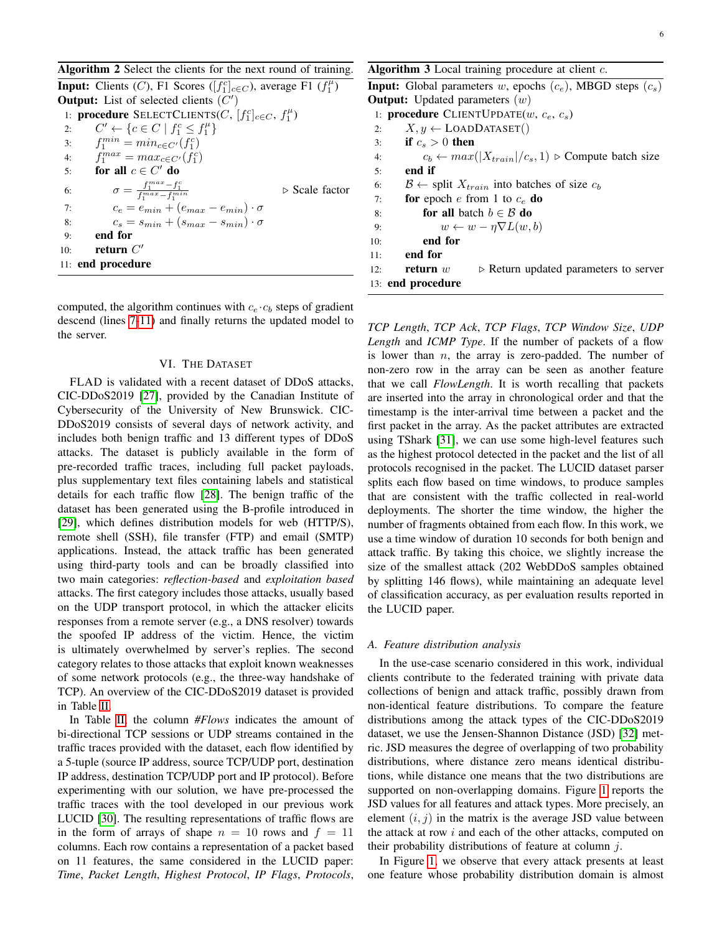<span id="page-5-1"></span>

| Algorithm 2 Select the clients for the next round of training.                                    |
|---------------------------------------------------------------------------------------------------|
| <b>Input:</b> Clients (C), F1 Scores ( $[f_1^c]_{c \in C}$ ), average F1 $(f_1^{\mu})$            |
| <b>Output:</b> List of selected clients $(C')$                                                    |
| 1: <b>procedure</b> SELECTCLIENTS(C, $[f_1^c]_{c\in C}$ , $f_1^{\mu}$ )                           |
| $C' \leftarrow \{c \in C \mid f_1^c \leq f_1^{\mu}\}\$<br>2:                                      |
| $f_1^{min} = min_{c \in C'}(f_1^c)$<br>3:                                                         |
| 4: $f_1^{max} = max_{c \in C'} (f_1^c)$                                                           |
| for all $c \in C'$ do<br>5:                                                                       |
| $\sigma = \frac{f_1^{max} - f_1^c}{f_1^{max} - f_1^{min}}$<br>$\triangleright$ Scale factor<br>6: |
| $c_e = e_{min} + (e_{max} - e_{min}) \cdot \sigma$<br>7:                                          |
| $c_s = s_{min} + (s_{max} - s_{min}) \cdot \sigma$<br>8:                                          |
| end for<br>9:                                                                                     |
| return $C'$<br>10:                                                                                |
| 11: end procedure                                                                                 |

computed, the algorithm continues with  $c_e \cdot c_b$  steps of gradient descend (lines [7-11\)](#page-5-2) and finally returns the updated model to the server.

## VI. THE DATASET

<span id="page-5-0"></span>FLAD is validated with a recent dataset of DDoS attacks, CIC-DDoS2019 [\[27\]](#page-11-25), provided by the Canadian Institute of Cybersecurity of the University of New Brunswick. CIC-DDoS2019 consists of several days of network activity, and includes both benign traffic and 13 different types of DDoS attacks. The dataset is publicly available in the form of pre-recorded traffic traces, including full packet payloads, plus supplementary text files containing labels and statistical details for each traffic flow [\[28\]](#page-11-26). The benign traffic of the dataset has been generated using the B-profile introduced in [\[29\]](#page-11-27), which defines distribution models for web (HTTP/S), remote shell (SSH), file transfer (FTP) and email (SMTP) applications. Instead, the attack traffic has been generated using third-party tools and can be broadly classified into two main categories: *reflection-based* and *exploitation based* attacks. The first category includes those attacks, usually based on the UDP transport protocol, in which the attacker elicits responses from a remote server (e.g., a DNS resolver) towards the spoofed IP address of the victim. Hence, the victim is ultimately overwhelmed by server's replies. The second category relates to those attacks that exploit known weaknesses of some network protocols (e.g., the three-way handshake of TCP). An overview of the CIC-DDoS2019 dataset is provided in Table [II.](#page-6-0)

In Table [II,](#page-6-0) the column *#Flows* indicates the amount of bi-directional TCP sessions or UDP streams contained in the traffic traces provided with the dataset, each flow identified by a 5-tuple (source IP address, source TCP/UDP port, destination IP address, destination TCP/UDP port and IP protocol). Before experimenting with our solution, we have pre-processed the traffic traces with the tool developed in our previous work LUCID [\[30\]](#page-11-28). The resulting representations of traffic flows are in the form of arrays of shape  $n = 10$  rows and  $f = 11$ columns. Each row contains a representation of a packet based on 11 features, the same considered in the LUCID paper: *Time*, *Packet Length*, *Highest Protocol*, *IP Flags*, *Protocols*, <span id="page-5-2"></span>Algorithm  $3$  Local training procedure at client  $c$ .

| <b>Input:</b> Global parameters w, epochs $(c_e)$ , MBGD steps $(c_s)$             |
|------------------------------------------------------------------------------------|
| <b>Output:</b> Updated parameters $(w)$                                            |
| 1: <b>procedure</b> CLIENTUPDATE $(w, c_e, c_s)$                                   |
| $X, y \leftarrow$ LOADDATASET()<br>2:                                              |
| if $c_s > 0$ then<br>3:                                                            |
| $c_b \leftarrow max( X_{train} /c_s, 1)$ $\triangleright$ Compute batch size<br>4: |
| end if<br>5:                                                                       |
| $\mathcal{B} \leftarrow$ split $X_{train}$ into batches of size $c_h$<br>6:        |
| for epoch e from 1 to $c_e$ do<br>7:                                               |
| for all batch $b \in \mathcal{B}$ do<br>8:                                         |
| $w \leftarrow w - \eta \nabla L(w, b)$<br>9:                                       |
| end for<br>10:                                                                     |
| end for<br>11:                                                                     |
| return $w$<br>$\triangleright$ Return updated parameters to server<br>12:          |
| 13: end procedure                                                                  |
|                                                                                    |

*TCP Length*, *TCP Ack*, *TCP Flags*, *TCP Window Size*, *UDP Length* and *ICMP Type*. If the number of packets of a flow is lower than  $n$ , the array is zero-padded. The number of non-zero row in the array can be seen as another feature that we call *FlowLength*. It is worth recalling that packets are inserted into the array in chronological order and that the timestamp is the inter-arrival time between a packet and the first packet in the array. As the packet attributes are extracted using TShark [\[31\]](#page-11-29), we can use some high-level features such as the highest protocol detected in the packet and the list of all protocols recognised in the packet. The LUCID dataset parser splits each flow based on time windows, to produce samples that are consistent with the traffic collected in real-world deployments. The shorter the time window, the higher the number of fragments obtained from each flow. In this work, we use a time window of duration 10 seconds for both benign and attack traffic. By taking this choice, we slightly increase the size of the smallest attack (202 WebDDoS samples obtained by splitting 146 flows), while maintaining an adequate level of classification accuracy, as per evaluation results reported in the LUCID paper.

#### <span id="page-5-3"></span>*A. Feature distribution analysis*

In the use-case scenario considered in this work, individual clients contribute to the federated training with private data collections of benign and attack traffic, possibly drawn from non-identical feature distributions. To compare the feature distributions among the attack types of the CIC-DDoS2019 dataset, we use the Jensen-Shannon Distance (JSD) [\[32\]](#page-11-30) metric. JSD measures the degree of overlapping of two probability distributions, where distance zero means identical distributions, while distance one means that the two distributions are supported on non-overlapping domains. Figure [1](#page-6-1) reports the JSD values for all features and attack types. More precisely, an element  $(i, j)$  in the matrix is the average JSD value between the attack at row  $i$  and each of the other attacks, computed on their probability distributions of feature at column  $i$ .

In Figure [1,](#page-6-1) we observe that every attack presents at least one feature whose probability distribution domain is almost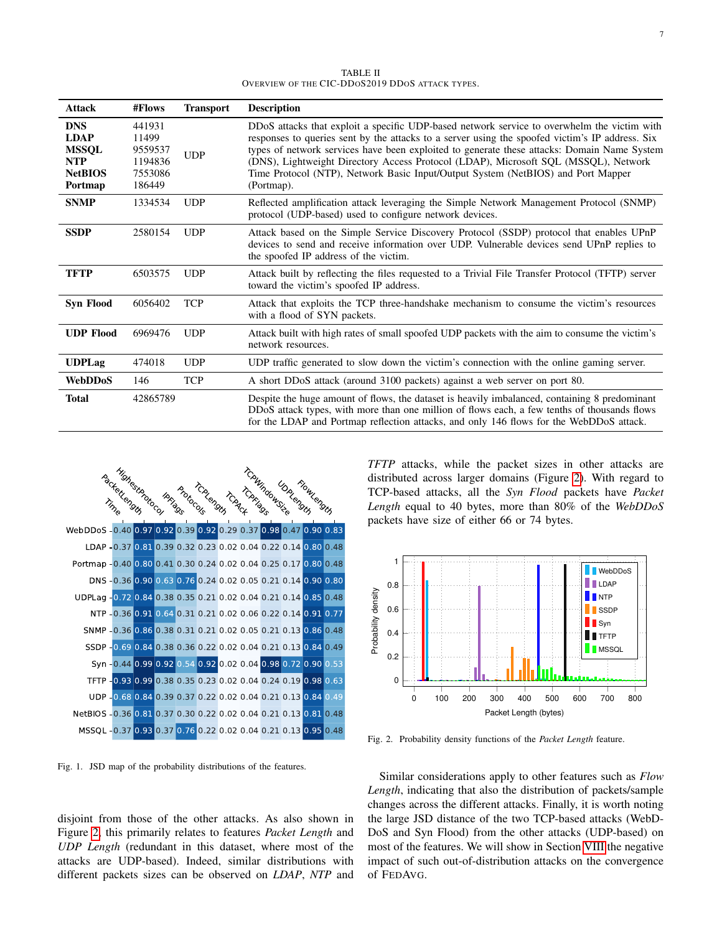TABLE II OVERVIEW OF THE CIC-DDOS2019 DDOS ATTACK TYPES.

<span id="page-6-0"></span>

| Attack                                                                               | #Flows                                                     | <b>Transport</b> | <b>Description</b>                                                                                                                                                                                                                                                                                                                                                                                                                                                                     |
|--------------------------------------------------------------------------------------|------------------------------------------------------------|------------------|----------------------------------------------------------------------------------------------------------------------------------------------------------------------------------------------------------------------------------------------------------------------------------------------------------------------------------------------------------------------------------------------------------------------------------------------------------------------------------------|
| <b>DNS</b><br><b>LDAP</b><br><b>MSSQL</b><br><b>NTP</b><br><b>NetBIOS</b><br>Portmap | 441931<br>11499<br>9559537<br>1194836<br>7553086<br>186449 | <b>UDP</b>       | DDoS attacks that exploit a specific UDP-based network service to overwhelm the victim with<br>responses to queries sent by the attacks to a server using the spoofed victim's IP address. Six<br>types of network services have been exploited to generate these attacks: Domain Name System<br>(DNS), Lightweight Directory Access Protocol (LDAP), Microsoft SQL (MSSQL), Network<br>Time Protocol (NTP), Network Basic Input/Output System (NetBIOS) and Port Mapper<br>(Portmap). |
| <b>SNMP</b>                                                                          | 1334534                                                    | <b>UDP</b>       | Reflected amplification attack leveraging the Simple Network Management Protocol (SNMP)<br>protocol (UDP-based) used to configure network devices.                                                                                                                                                                                                                                                                                                                                     |
| <b>SSDP</b>                                                                          | 2580154                                                    | <b>UDP</b>       | Attack based on the Simple Service Discovery Protocol (SSDP) protocol that enables UPnP<br>devices to send and receive information over UDP. Vulnerable devices send UPnP replies to<br>the spoofed IP address of the victim.                                                                                                                                                                                                                                                          |
| TFTP                                                                                 | 6503575                                                    | <b>UDP</b>       | Attack built by reflecting the files requested to a Trivial File Transfer Protocol (TFTP) server<br>toward the victim's spoofed IP address.                                                                                                                                                                                                                                                                                                                                            |
| <b>Syn Flood</b>                                                                     | 6056402                                                    | <b>TCP</b>       | Attack that exploits the TCP three-handshake mechanism to consume the victim's resources<br>with a flood of SYN packets.                                                                                                                                                                                                                                                                                                                                                               |
| <b>UDP Flood</b>                                                                     | 6969476                                                    | <b>UDP</b>       | Attack built with high rates of small spoofed UDP packets with the aim to consume the victim's<br>network resources.                                                                                                                                                                                                                                                                                                                                                                   |
| <b>UDPLag</b>                                                                        | 474018                                                     | <b>UDP</b>       | UDP traffic generated to slow down the victim's connection with the online gaming server.                                                                                                                                                                                                                                                                                                                                                                                              |
| <b>WebDDoS</b>                                                                       | 146                                                        | <b>TCP</b>       | A short DDoS attack (around 3100 packets) against a web server on port 80.                                                                                                                                                                                                                                                                                                                                                                                                             |
| <b>Total</b>                                                                         | 42865789                                                   |                  | Despite the huge amount of flows, the dataset is heavily imbalanced, containing 8 predominant<br>DDoS attack types, with more than one million of flows each, a few tenths of thousands flows<br>for the LDAP and Portmap reflection attacks, and only 146 flows for the WebDDoS attack.                                                                                                                                                                                               |



<span id="page-6-1"></span>Fig. 1. JSD map of the probability distributions of the features.

disjoint from those of the other attacks. As also shown in Figure [2,](#page-6-2) this primarily relates to features *Packet Length* and *UDP Length* (redundant in this dataset, where most of the attacks are UDP-based). Indeed, similar distributions with different packets sizes can be observed on *LDAP*, *NTP* and

*TFTP* attacks, while the packet sizes in other attacks are distributed across larger domains (Figure [2\)](#page-6-2). With regard to TCP-based attacks, all the *Syn Flood* packets have *Packet Length* equal to 40 bytes, more than 80% of the *WebDDoS* packets have size of either 66 or 74 bytes.



<span id="page-6-2"></span>Fig. 2. Probability density functions of the *Packet Length* feature.

Similar considerations apply to other features such as *Flow Length*, indicating that also the distribution of packets/sample changes across the different attacks. Finally, it is worth noting the large JSD distance of the two TCP-based attacks (WebD-DoS and Syn Flood) from the other attacks (UDP-based) on most of the features. We will show in Section [VIII](#page-8-0) the negative impact of such out-of-distribution attacks on the convergence of FEDAVG.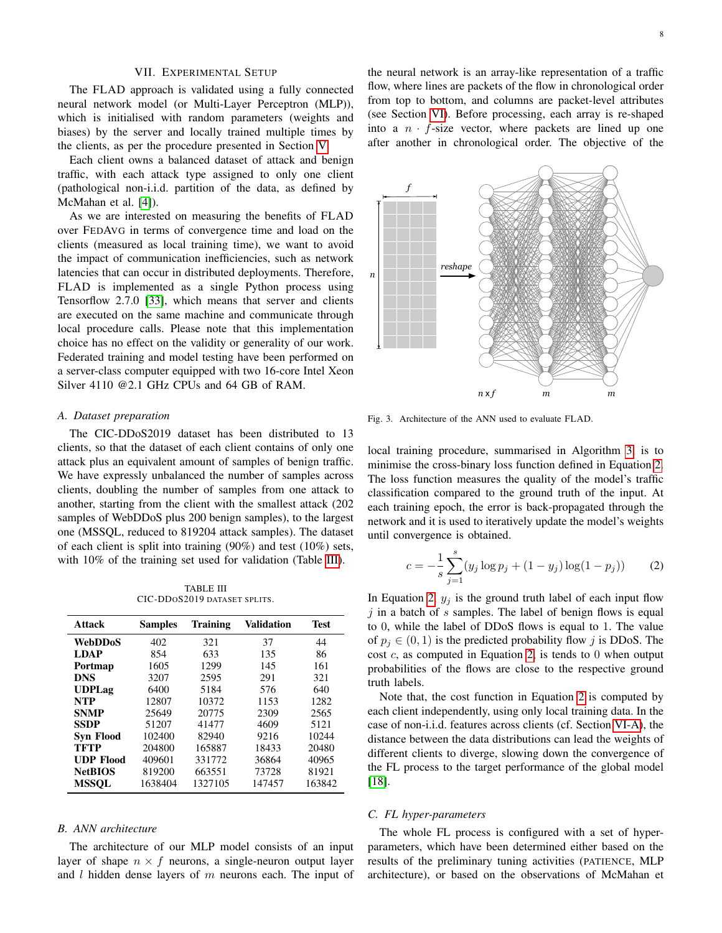#### VII. EXPERIMENTAL SETUP

<span id="page-7-0"></span>The FLAD approach is validated using a fully connected neural network model (or Multi-Layer Perceptron (MLP)), which is initialised with random parameters (weights and biases) by the server and locally trained multiple times by the clients, as per the procedure presented in Section [V.](#page-3-1)

Each client owns a balanced dataset of attack and benign traffic, with each attack type assigned to only one client (pathological non-i.i.d. partition of the data, as defined by McMahan et al. [\[4\]](#page-11-3)).

As we are interested on measuring the benefits of FLAD over FEDAVG in terms of convergence time and load on the clients (measured as local training time), we want to avoid the impact of communication inefficiencies, such as network latencies that can occur in distributed deployments. Therefore, FLAD is implemented as a single Python process using Tensorflow 2.7.0 [\[33\]](#page-11-31), which means that server and clients are executed on the same machine and communicate through local procedure calls. Please note that this implementation choice has no effect on the validity or generality of our work. Federated training and model testing have been performed on a server-class computer equipped with two 16-core Intel Xeon Silver 4110 @2.1 GHz CPUs and 64 GB of RAM.

#### <span id="page-7-3"></span>*A. Dataset preparation*

The CIC-DDoS2019 dataset has been distributed to 13 clients, so that the dataset of each client contains of only one attack plus an equivalent amount of samples of benign traffic. We have expressly unbalanced the number of samples across clients, doubling the number of samples from one attack to another, starting from the client with the smallest attack (202 samples of WebDDoS plus 200 benign samples), to the largest one (MSSQL, reduced to 819204 attack samples). The dataset of each client is split into training (90%) and test (10%) sets, with  $10\%$  of the training set used for validation (Table [III\)](#page-7-1).

TABLE III CIC-DDOS2019 DATASET SPLITS.

<span id="page-7-1"></span>

| <b>Attack</b>    | <b>Samples</b> | <b>Training</b> | Validation | Test   |
|------------------|----------------|-----------------|------------|--------|
| <b>WebDDoS</b>   | 402            | 321             | 37         | 44     |
| <b>LDAP</b>      | 854            | 633             | 135        | 86     |
| Portmap          | 1605           | 1299            | 145        | 161    |
| <b>DNS</b>       | 3207           | 2595            | 291        | 321    |
| <b>UDPLag</b>    | 6400           | 5184            | 576        | 640    |
| <b>NTP</b>       | 12807          | 10372           | 1153       | 1282   |
| <b>SNMP</b>      | 25649          | 20775           | 2309       | 2565   |
| <b>SSDP</b>      | 51207          | 41477           | 4609       | 5121   |
| <b>Syn Flood</b> | 102400         | 82940           | 9216       | 10244  |
| TFTP             | 204800         | 165887          | 18433      | 20480  |
| <b>UDP Flood</b> | 409601         | 331772          | 36864      | 40965  |
| <b>NetBIOS</b>   | 819200         | 663551          | 73728      | 81921  |
| MSSOL            | 1638404        | 1327105         | 147457     | 163842 |

## *B. ANN architecture*

The architecture of our MLP model consists of an input layer of shape  $n \times f$  neurons, a single-neuron output layer and  $l$  hidden dense layers of  $m$  neurons each. The input of

the neural network is an array-like representation of a traffic flow, where lines are packets of the flow in chronological order from top to bottom, and columns are packet-level attributes (see Section [VI\)](#page-5-0). Before processing, each array is re-shaped into a  $n \cdot f$ -size vector, where packets are lined up one after another in chronological order. The objective of the



Fig. 3. Architecture of the ANN used to evaluate FLAD.

local training procedure, summarised in Algorithm [3,](#page-5-2) is to minimise the cross-binary loss function defined in Equation [2.](#page-7-2) The loss function measures the quality of the model's traffic classification compared to the ground truth of the input. At each training epoch, the error is back-propagated through the network and it is used to iteratively update the model's weights until convergence is obtained.

<span id="page-7-2"></span>
$$
c = -\frac{1}{s} \sum_{j=1}^{s} (y_j \log p_j + (1 - y_j) \log(1 - p_j))
$$
 (2)

In Equation [2,](#page-7-2)  $y_i$  is the ground truth label of each input flow  $i$  in a batch of s samples. The label of benign flows is equal to 0, while the label of DDoS flows is equal to 1. The value of  $p_i \in (0, 1)$  is the predicted probability flow j is DDoS. The cost  $c$ , as computed in Equation [2,](#page-7-2) is tends to 0 when output probabilities of the flows are close to the respective ground truth labels.

Note that, the cost function in Equation [2](#page-7-2) is computed by each client independently, using only local training data. In the case of non-i.i.d. features across clients (cf. Section [VI-A\)](#page-5-3), the distance between the data distributions can lead the weights of different clients to diverge, slowing down the convergence of the FL process to the target performance of the global model [\[18\]](#page-11-16).

## *C. FL hyper-parameters*

The whole FL process is configured with a set of hyperparameters, which have been determined either based on the results of the preliminary tuning activities (PATIENCE, MLP architecture), or based on the observations of McMahan et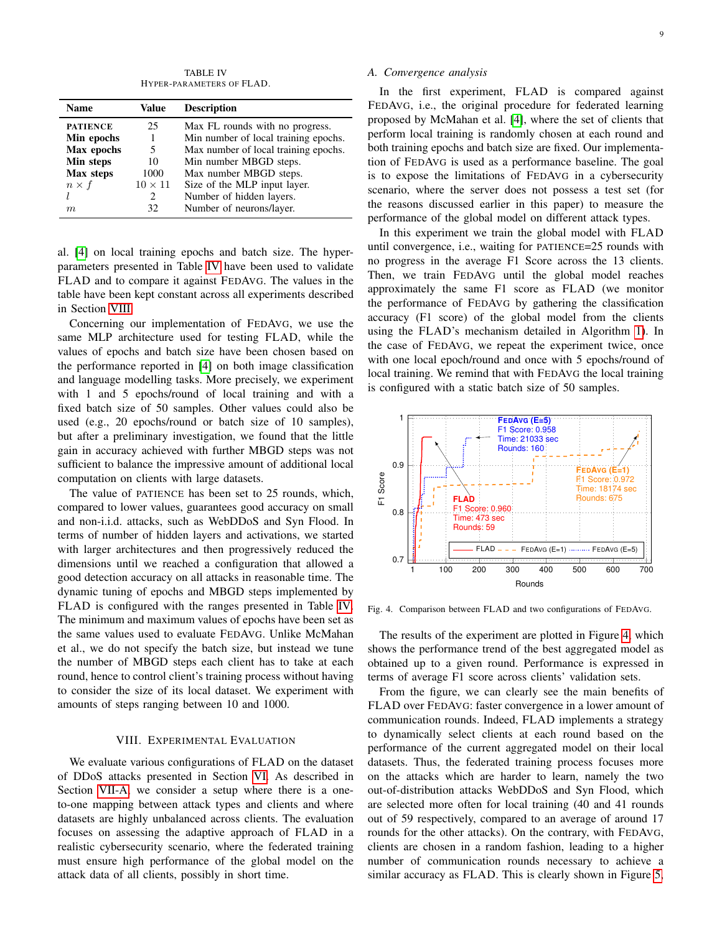TABLE IV HYPER-PARAMETERS OF FLAD.

<span id="page-8-2"></span>

| Name            | Value          | <b>Description</b>                   |
|-----------------|----------------|--------------------------------------|
| <b>PATIENCE</b> | 25             | Max FL rounds with no progress.      |
| Min epochs      |                | Min number of local training epochs. |
| Max epochs      | 5              | Max number of local training epochs. |
| Min steps       | 10             | Min number MBGD steps.               |
| Max steps       | 1000           | Max number MBGD steps.               |
| $n \times f$    | $10 \times 11$ | Size of the MLP input layer.         |
|                 | 2              | Number of hidden layers.             |
| m               | 32             | Number of neurons/layer.             |

al. [\[4\]](#page-11-3) on local training epochs and batch size. The hyperparameters presented in Table [IV](#page-8-2) have been used to validate FLAD and to compare it against FEDAVG. The values in the table have been kept constant across all experiments described in Section [VIII.](#page-8-0)

Concerning our implementation of FEDAVG, we use the same MLP architecture used for testing FLAD, while the values of epochs and batch size have been chosen based on the performance reported in [\[4\]](#page-11-3) on both image classification and language modelling tasks. More precisely, we experiment with 1 and 5 epochs/round of local training and with a fixed batch size of 50 samples. Other values could also be used (e.g., 20 epochs/round or batch size of 10 samples), but after a preliminary investigation, we found that the little gain in accuracy achieved with further MBGD steps was not sufficient to balance the impressive amount of additional local computation on clients with large datasets.

The value of PATIENCE has been set to 25 rounds, which, compared to lower values, guarantees good accuracy on small and non-i.i.d. attacks, such as WebDDoS and Syn Flood. In terms of number of hidden layers and activations, we started with larger architectures and then progressively reduced the dimensions until we reached a configuration that allowed a good detection accuracy on all attacks in reasonable time. The dynamic tuning of epochs and MBGD steps implemented by FLAD is configured with the ranges presented in Table [IV.](#page-8-2) The minimum and maximum values of epochs have been set as the same values used to evaluate FEDAVG. Unlike McMahan et al., we do not specify the batch size, but instead we tune the number of MBGD steps each client has to take at each round, hence to control client's training process without having to consider the size of its local dataset. We experiment with amounts of steps ranging between 10 and 1000.

## VIII. EXPERIMENTAL EVALUATION

<span id="page-8-0"></span>We evaluate various configurations of FLAD on the dataset of DDoS attacks presented in Section [VI.](#page-5-0) As described in Section [VII-A,](#page-7-3) we consider a setup where there is a oneto-one mapping between attack types and clients and where datasets are highly unbalanced across clients. The evaluation focuses on assessing the adaptive approach of FLAD in a realistic cybersecurity scenario, where the federated training must ensure high performance of the global model on the attack data of all clients, possibly in short time.

## <span id="page-8-1"></span>*A. Convergence analysis*

In the first experiment, FLAD is compared against FEDAVG, i.e., the original procedure for federated learning proposed by McMahan et al. [\[4\]](#page-11-3), where the set of clients that perform local training is randomly chosen at each round and both training epochs and batch size are fixed. Our implementation of FEDAVG is used as a performance baseline. The goal is to expose the limitations of FEDAVG in a cybersecurity scenario, where the server does not possess a test set (for the reasons discussed earlier in this paper) to measure the performance of the global model on different attack types.

In this experiment we train the global model with FLAD until convergence, i.e., waiting for PATIENCE=25 rounds with no progress in the average F1 Score across the 13 clients. Then, we train FEDAVG until the global model reaches approximately the same F1 score as FLAD (we monitor the performance of FEDAVG by gathering the classification accuracy (F1 score) of the global model from the clients using the FLAD's mechanism detailed in Algorithm [1\)](#page-4-0). In the case of FEDAVG, we repeat the experiment twice, once with one local epoch/round and once with 5 epochs/round of local training. We remind that with FEDAVG the local training is configured with a static batch size of 50 samples.



<span id="page-8-3"></span>Fig. 4. Comparison between FLAD and two configurations of FEDAVG.

The results of the experiment are plotted in Figure [4,](#page-8-3) which shows the performance trend of the best aggregated model as obtained up to a given round. Performance is expressed in terms of average F1 score across clients' validation sets.

From the figure, we can clearly see the main benefits of FLAD over FEDAVG: faster convergence in a lower amount of communication rounds. Indeed, FLAD implements a strategy to dynamically select clients at each round based on the performance of the current aggregated model on their local datasets. Thus, the federated training process focuses more on the attacks which are harder to learn, namely the two out-of-distribution attacks WebDDoS and Syn Flood, which are selected more often for local training (40 and 41 rounds out of 59 respectively, compared to an average of around 17 rounds for the other attacks). On the contrary, with FEDAVG, clients are chosen in a random fashion, leading to a higher number of communication rounds necessary to achieve a similar accuracy as FLAD. This is clearly shown in Figure [5,](#page-9-0)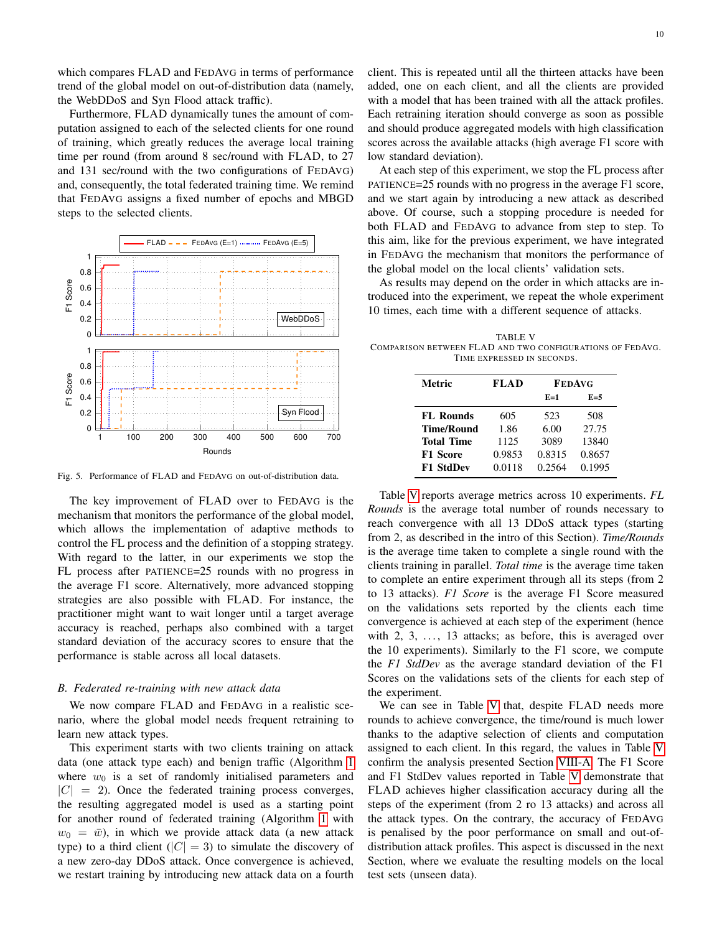which compares FLAD and FEDAVG in terms of performance trend of the global model on out-of-distribution data (namely, the WebDDoS and Syn Flood attack traffic).

Furthermore, FLAD dynamically tunes the amount of computation assigned to each of the selected clients for one round of training, which greatly reduces the average local training time per round (from around 8 sec/round with FLAD, to 27 and 131 sec/round with the two configurations of FEDAVG) and, consequently, the total federated training time. We remind that FEDAVG assigns a fixed number of epochs and MBGD steps to the selected clients.



<span id="page-9-0"></span>Fig. 5. Performance of FLAD and FEDAVG on out-of-distribution data.

The key improvement of FLAD over to FEDAVG is the mechanism that monitors the performance of the global model, which allows the implementation of adaptive methods to control the FL process and the definition of a stopping strategy. With regard to the latter, in our experiments we stop the FL process after PATIENCE=25 rounds with no progress in the average F1 score. Alternatively, more advanced stopping strategies are also possible with FLAD. For instance, the practitioner might want to wait longer until a target average accuracy is reached, perhaps also combined with a target standard deviation of the accuracy scores to ensure that the performance is stable across all local datasets.

## <span id="page-9-2"></span>*B. Federated re-training with new attack data*

We now compare FLAD and FEDAVG in a realistic scenario, where the global model needs frequent retraining to learn new attack types.

This experiment starts with two clients training on attack data (one attack type each) and benign traffic (Algorithm [1](#page-4-0) where  $w_0$  is a set of randomly initialised parameters and  $|C| = 2$ ). Once the federated training process converges, the resulting aggregated model is used as a starting point for another round of federated training (Algorithm [1](#page-4-0) with  $w_0 = \bar{w}$ ), in which we provide attack data (a new attack type) to a third client ( $|C| = 3$ ) to simulate the discovery of a new zero-day DDoS attack. Once convergence is achieved, we restart training by introducing new attack data on a fourth client. This is repeated until all the thirteen attacks have been added, one on each client, and all the clients are provided with a model that has been trained with all the attack profiles. Each retraining iteration should converge as soon as possible and should produce aggregated models with high classification scores across the available attacks (high average F1 score with low standard deviation).

At each step of this experiment, we stop the FL process after PATIENCE=25 rounds with no progress in the average F1 score, and we start again by introducing a new attack as described above. Of course, such a stopping procedure is needed for both FLAD and FEDAVG to advance from step to step. To this aim, like for the previous experiment, we have integrated in FEDAVG the mechanism that monitors the performance of the global model on the local clients' validation sets.

As results may depend on the order in which attacks are introduced into the experiment, we repeat the whole experiment 10 times, each time with a different sequence of attacks.

<span id="page-9-1"></span>TABLE V COMPARISON BETWEEN FLAD AND TWO CONFIGURATIONS OF FEDAVG. TIME EXPRESSED IN SECONDS.

| <b>Metric</b>     | FLAD   | <b>FEDAVG</b> |        |
|-------------------|--------|---------------|--------|
|                   |        | $E=1$         | $E=5$  |
| <b>FL</b> Rounds  | 605    | 523           | 508    |
| <b>Time/Round</b> | 1.86   | 6.00          | 27.75  |
| <b>Total Time</b> | 1125   | 3089          | 13840  |
| <b>F1 Score</b>   | 0.9853 | 0.8315        | 0.8657 |
| <b>F1 StdDev</b>  | 0.0118 | 0.2564        | 0.1995 |

Table [V](#page-9-1) reports average metrics across 10 experiments. *FL Rounds* is the average total number of rounds necessary to reach convergence with all 13 DDoS attack types (starting from 2, as described in the intro of this Section). *Time/Rounds* is the average time taken to complete a single round with the clients training in parallel. *Total time* is the average time taken to complete an entire experiment through all its steps (from 2 to 13 attacks). *F1 Score* is the average F1 Score measured on the validations sets reported by the clients each time convergence is achieved at each step of the experiment (hence with  $2, 3, \ldots$ , 13 attacks; as before, this is averaged over the 10 experiments). Similarly to the F1 score, we compute the *F1 StdDev* as the average standard deviation of the F1 Scores on the validations sets of the clients for each step of the experiment.

We can see in Table [V](#page-9-1) that, despite FLAD needs more rounds to achieve convergence, the time/round is much lower thanks to the adaptive selection of clients and computation assigned to each client. In this regard, the values in Table [V](#page-9-1) confirm the analysis presented Section [VIII-A.](#page-8-1) The F1 Score and F1 StdDev values reported in Table [V](#page-9-1) demonstrate that FLAD achieves higher classification accuracy during all the steps of the experiment (from 2 ro 13 attacks) and across all the attack types. On the contrary, the accuracy of FEDAVG is penalised by the poor performance on small and out-ofdistribution attack profiles. This aspect is discussed in the next Section, where we evaluate the resulting models on the local test sets (unseen data).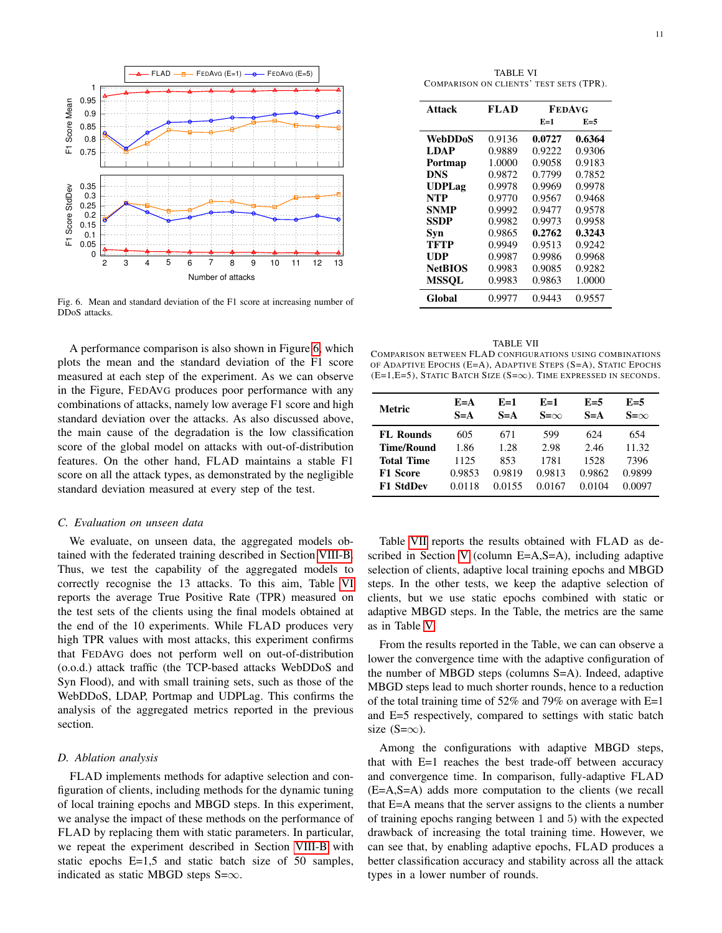

<span id="page-10-0"></span>Fig. 6. Mean and standard deviation of the F1 score at increasing number of DDoS attacks.

A performance comparison is also shown in Figure [6,](#page-10-0) which plots the mean and the standard deviation of the F1 score measured at each step of the experiment. As we can observe in the Figure, FEDAVG produces poor performance with any combinations of attacks, namely low average F1 score and high standard deviation over the attacks. As also discussed above, the main cause of the degradation is the low classification score of the global model on attacks with out-of-distribution features. On the other hand, FLAD maintains a stable F1 score on all the attack types, as demonstrated by the negligible standard deviation measured at every step of the test.

## *C. Evaluation on unseen data*

We evaluate, on unseen data, the aggregated models obtained with the federated training described in Section [VIII-B.](#page-9-2) Thus, we test the capability of the aggregated models to correctly recognise the 13 attacks. To this aim, Table [VI](#page-10-1) reports the average True Positive Rate (TPR) measured on the test sets of the clients using the final models obtained at the end of the 10 experiments. While FLAD produces very high TPR values with most attacks, this experiment confirms that FEDAVG does not perform well on out-of-distribution (o.o.d.) attack traffic (the TCP-based attacks WebDDoS and Syn Flood), and with small training sets, such as those of the WebDDoS, LDAP, Portmap and UDPLag. This confirms the analysis of the aggregated metrics reported in the previous section.

#### *D. Ablation analysis*

FLAD implements methods for adaptive selection and configuration of clients, including methods for the dynamic tuning of local training epochs and MBGD steps. In this experiment, we analyse the impact of these methods on the performance of FLAD by replacing them with static parameters. In particular, we repeat the experiment described in Section [VIII-B](#page-9-2) with static epochs E=1,5 and static batch size of 50 samples, indicated as static MBGD steps S= $\infty$ .

TABLE VI COMPARISON ON CLIENTS' TEST SETS (TPR).

<span id="page-10-1"></span>

| Attack         | FLA D  | <b>FEDAVG</b> |        |  |
|----------------|--------|---------------|--------|--|
|                |        | $E=1$         | $E=5$  |  |
| <b>WebDDoS</b> | 0.9136 | 0.0727        | 0.6364 |  |
| LDAP           | 0.9889 | 0.9222        | 0.9306 |  |
| Portmap        | 1.0000 | 0.9058        | 0.9183 |  |
| <b>DNS</b>     | 0.9872 | 0.7799        | 0.7852 |  |
| <b>UDPLag</b>  | 0.9978 | 0.9969        | 0.9978 |  |
| <b>NTP</b>     | 0.9770 | 0.9567        | 0.9468 |  |
| <b>SNMP</b>    | 0.9992 | 0.9477        | 0.9578 |  |
| <b>SSDP</b>    | 0.9982 | 0.9973        | 0.9958 |  |
| Syn            | 0.9865 | 0.2762        | 0.3243 |  |
| TFTP           | 0.9949 | 0.9513        | 0.9242 |  |
| UDP            | 0.9987 | 0.9986        | 0.9968 |  |
| <b>NetBIOS</b> | 0.9983 | 0.9085        | 0.9282 |  |
| <b>MSSOL</b>   | 0.9983 | 0.9863        | 1.0000 |  |
| Global         | 0.9977 | 0.9443        | 0.9557 |  |

<span id="page-10-2"></span>

| <b>TABLE VII</b>                                                          |
|---------------------------------------------------------------------------|
| COMPARISON BETWEEN FLAD CONFIGURATIONS USING COMBINATIONS                 |
| of Adaptive Epochs (E=A), Adaptive Steps (S=A), Static Epochs             |
| $(E=1,E=5)$ , Static Batch Size $(S=\infty)$ . Time expressed in seconds. |

| Metric            | $E = A$<br>$S = A$ | $E=1$<br>$S = A$ | $E=1$<br>$S=\infty$ | $E=5$<br>$S = A$ | $F=5$<br>$S=\infty$ |
|-------------------|--------------------|------------------|---------------------|------------------|---------------------|
| <b>FL Rounds</b>  | 605                | 671              | 599                 | 624              | 654                 |
| <b>Time/Round</b> | 1.86               | 1.28             | 2.98                | 2.46             | 11.32               |
| <b>Total Time</b> | 1125               | 853              | 1781                | 1528             | 7396                |
| <b>F1 Score</b>   | 0.9853             | 0.9819           | 0.9813              | 0.9862           | 0.9899              |
| <b>F1 StdDev</b>  | 0.0118             | 0.0155           | 0.0167              | 0.0104           | 0.0097              |

Table [VII](#page-10-2) reports the results obtained with FLAD as described in Section [V](#page-3-1) (column E=A,S=A), including adaptive selection of clients, adaptive local training epochs and MBGD steps. In the other tests, we keep the adaptive selection of clients, but we use static epochs combined with static or adaptive MBGD steps. In the Table, the metrics are the same as in Table [V.](#page-9-1)

From the results reported in the Table, we can can observe a lower the convergence time with the adaptive configuration of the number of MBGD steps (columns S=A). Indeed, adaptive MBGD steps lead to much shorter rounds, hence to a reduction of the total training time of 52% and 79% on average with E=1 and E=5 respectively, compared to settings with static batch size  $(S=\infty)$ .

Among the configurations with adaptive MBGD steps, that with E=1 reaches the best trade-off between accuracy and convergence time. In comparison, fully-adaptive FLAD (E=A,S=A) adds more computation to the clients (we recall that E=A means that the server assigns to the clients a number of training epochs ranging between 1 and 5) with the expected drawback of increasing the total training time. However, we can see that, by enabling adaptive epochs, FLAD produces a better classification accuracy and stability across all the attack types in a lower number of rounds.